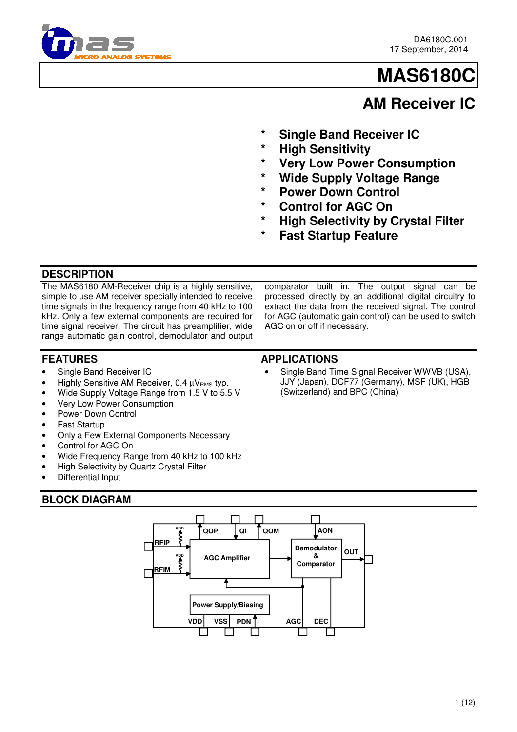

# **MAS6180C**

# **AM Receiver IC**

- **Single Band Receiver IC**
- **High Sensitivity**
- **Yery Low Power Consumption**
- **Wide Supply Voltage Range**
- **Power Down Control**
- **Control for AGC On**
- **High Selectivity by Crystal Filter**
- **Fast Startup Feature**

## **DESCRIPTION**

The MAS6180 AM-Receiver chip is a highly sensitive, simple to use AM receiver specially intended to receive time signals in the frequency range from 40 kHz to 100 kHz. Only a few external components are required for time signal receiver. The circuit has preamplifier, wide range automatic gain control, demodulator and output

#### comparator built in. The output signal can be processed directly by an additional digital circuitry to extract the data from the received signal. The control for AGC (automatic gain control) can be used to switch AGC on or off if necessary.

- **FEATURES APPLICATIONS**
- Single Band Receiver IC
- Highly Sensitive AM Receiver, 0.4  $\mu V_{RMS}$  typ.
- Wide Supply Voltage Range from 1.5 V to 5.5 V
- Very Low Power Consumption
- Power Down Control
- **Fast Startup**
- Only a Few External Components Necessary
- Control for AGC On
- Wide Frequency Range from 40 kHz to 100 kHz
- High Selectivity by Quartz Crystal Filter
- Differential Input

## **BLOCK DIAGRAM**



Single Band Time Signal Receiver WWVB (USA), JJY (Japan), DCF77 (Germany), MSF (UK), HGB (Switzerland) and BPC (China)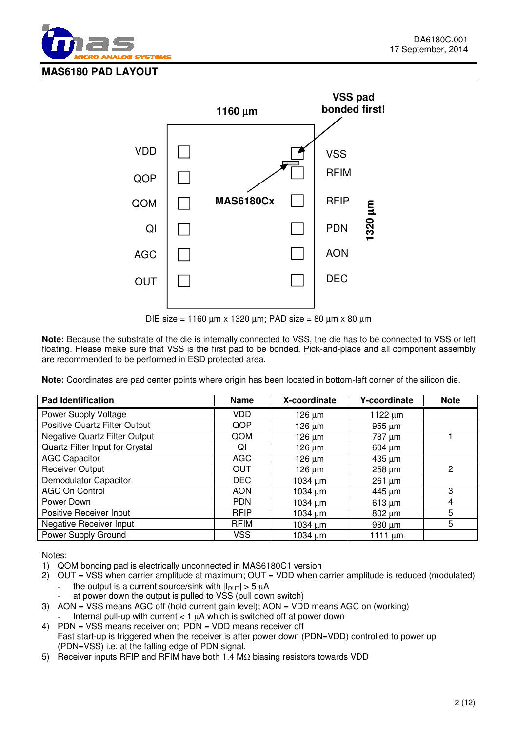



DIE size = 1160 µm x 1320 µm; PAD size = 80 µm x 80 µm

**Note:** Because the substrate of the die is internally connected to VSS, the die has to be connected to VSS or left floating. Please make sure that VSS is the first pad to be bonded. Pick-and-place and all component assembly are recommended to be performed in ESD protected area.

**Note:** Coordinates are pad center points where origin has been located in bottom-left corner of the silicon die.

| <b>Pad Identification</b>            | <b>Name</b> | X-coordinate | Y-coordinate | <b>Note</b>    |
|--------------------------------------|-------------|--------------|--------------|----------------|
| Power Supply Voltage                 | <b>VDD</b>  | $126 \mu m$  | 1122 $\mu$ m |                |
| Positive Quartz Filter Output        | QOP         | $126 \mu m$  | $955 \mu m$  |                |
| <b>Negative Quartz Filter Output</b> | QOM         | $126 \mu m$  | 787 µm       |                |
| Quartz Filter Input for Crystal      | ΩI          | $126 \mu m$  | $604 \mu m$  |                |
| <b>AGC Capacitor</b>                 | <b>AGC</b>  | 126 um       | 435 um       |                |
| <b>Receiver Output</b>               | <b>OUT</b>  | $126 \mu m$  | $258 \mu m$  | $\overline{2}$ |
| Demodulator Capacitor                | DEC.        | $1034 \mu m$ | $261 \mu m$  |                |
| <b>AGC On Control</b>                | <b>AON</b>  | $1034 \mu m$ | 445 um       | 3              |
| Power Down                           | <b>PDN</b>  | $1034 \mu m$ | $613 \mu m$  | 4              |
| Positive Receiver Input              | <b>RFIP</b> | $1034 \mu m$ | $802 \mu m$  | 5              |
| Negative Receiver Input              | <b>RFIM</b> | $1034 \mu m$ | 980 µm       | 5              |
| Power Supply Ground                  | <b>VSS</b>  | $1034 \mu m$ | 1111 $\mu$ m |                |

Notes:

- 1) QOM bonding pad is electrically unconnected in MAS6180C1 version
- 2) OUT = VSS when carrier amplitude at maximum; OUT = VDD when carrier amplitude is reduced (modulated) the output is a current source/sink with  $|I_{\text{OUT}}| > 5 \mu A$ 
	- at power down the output is pulled to VSS (pull down switch)
- 3) AON = VSS means AGC off (hold current gain level); AON = VDD means AGC on (working)
- Internal pull-up with current  $< 1$   $\mu$ A which is switched off at power down
- 4) PDN = VSS means receiver on; PDN = VDD means receiver off Fast start-up is triggered when the receiver is after power down (PDN=VDD) controlled to power up (PDN=VSS) i.e. at the falling edge of PDN signal.
- 5) Receiver inputs RFIP and RFIM have both 1.4 MΩ biasing resistors towards VDD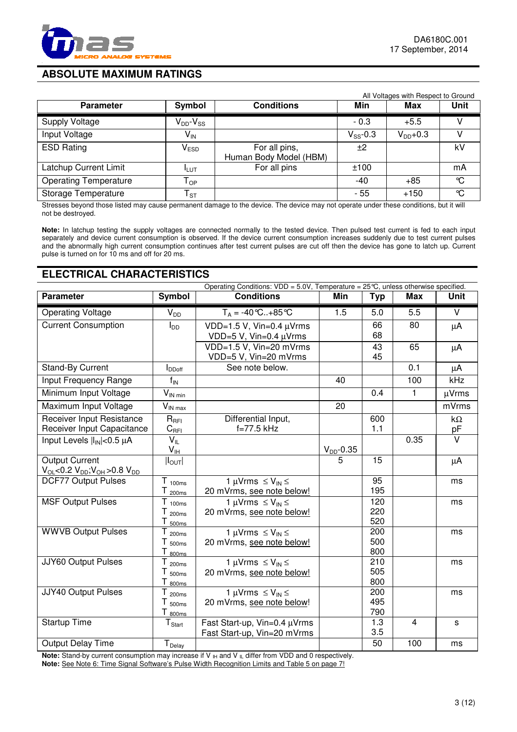

## **ABSOLUTE MAXIMUM RATINGS**

|                              |                              |                                         |               | All Voltages with Respect to Ground |             |
|------------------------------|------------------------------|-----------------------------------------|---------------|-------------------------------------|-------------|
| <b>Parameter</b>             | Symbol                       | <b>Conditions</b>                       | Min           | Max                                 | <b>Unit</b> |
| Supply Voltage               | $V_{DD}$ - $V_{SS}$          |                                         | $-0.3$        | $+5.5$                              |             |
| Input Voltage                | V <sub>IN</sub>              |                                         | $V_{SS}$ -0.3 | $V_{DD}+0.3$                        |             |
| <b>ESD Rating</b>            | $\mathsf{V}_{\mathsf{ESD}}$  | For all pins,<br>Human Body Model (HBM) | ±2            |                                     | kV          |
| Latchup Current Limit        | <b>I</b> LUT                 | For all pins                            | ±100          |                                     | mA          |
| <b>Operating Temperature</b> | ${\mathsf T}_{\mathsf {OP}}$ |                                         | -40           | $+85$                               | °C          |
| Storage Temperature          | $\mathsf{T}_{\texttt{ST}}$   |                                         | - 55          | $+150$                              | °C          |

Stresses beyond those listed may cause permanent damage to the device. The device may not operate under these conditions, but it will not be destroyed.

Note: In latchup testing the supply voltages are connected normally to the tested device. Then pulsed test current is fed to each input separately and device current consumption is observed. If the device current consumption increases suddenly due to test current pulses and the abnormally high current consumption continues after test current pulses are cut off then the device has gone to latch up. Current pulse is turned on for 10 ms and off for 20 ms.

## **ELECTRICAL CHARACTERISTICS**

| Operating Conditions: $VDD = 5.0V$ , Temperature = $25^{\circ}C$ , unless otherwise specified. |                                |                                                    |                |            |                |                         |
|------------------------------------------------------------------------------------------------|--------------------------------|----------------------------------------------------|----------------|------------|----------------|-------------------------|
| <b>Parameter</b>                                                                               | <b>Symbol</b>                  | <b>Conditions</b>                                  | Min            | <b>Typ</b> | <b>Max</b>     | <b>Unit</b>             |
| <b>Operating Voltage</b>                                                                       | $V_{DD}$                       | $T_A = -40 \degree C + 85 \degree C$               | 1.5            | 5.0        | 5.5            | V                       |
| <b>Current Consumption</b>                                                                     | $I_{DD}$                       | VDD=1.5 V, Vin=0.4 µVrms                           |                | 66         | 80             | $\mu$ A                 |
|                                                                                                |                                | VDD=5 V, Vin=0.4 µVrms                             |                | 68         |                |                         |
|                                                                                                |                                | VDD=1.5 V, Vin=20 mVrms                            |                | 43         | 65             | $\mu$ A                 |
|                                                                                                |                                | VDD=5 V, Vin=20 mVrms                              |                | 45         |                |                         |
| <b>Stand-By Current</b>                                                                        | $I_{DDoff}$                    | See note below.                                    |                |            | 0.1            | $\mu$ A                 |
| Input Frequency Range                                                                          | $f_{IN}$                       |                                                    | 40             |            | 100            | kHz                     |
| Minimum Input Voltage                                                                          | $V_{IN \min}$                  |                                                    |                | 0.4        | 1              | µVrms                   |
| Maximum Input Voltage                                                                          | $V_{IN\,max}$                  |                                                    | 20             |            |                | mVrms                   |
| Receiver Input Resistance                                                                      | $R_{\text{RFI}}$               | Differential Input,                                |                | 600        |                | $k\Omega$               |
| Receiver Input Capacitance                                                                     | $C_{\rm{RFI}}$                 | f=77.5 kHz                                         |                | 1.1        |                | pF                      |
| Input Levels $ I_{IN}  < 0.5 \mu A$                                                            | $V_{IL}$                       |                                                    |                |            | 0.35           | $\overline{\mathsf{v}}$ |
|                                                                                                | V <sub>IH</sub>                |                                                    | $V_{DD}$ -0.35 |            |                |                         |
| <b>Output Current</b>                                                                          | $ I_{OUT} $                    |                                                    | 5              | 15         |                | μA                      |
| $V_{OL} < 0.2 V_{DD}$ ; $V_{OH} > 0.8 V_{DD}$                                                  |                                |                                                    |                |            |                |                         |
| <b>DCF77 Output Pulses</b>                                                                     | $T_{100ms}$                    | 1 µVrms $\leq$ V <sub>IN</sub> $\leq$              |                | 95         |                | ms                      |
|                                                                                                | $T_{200ms}$                    | 20 mVrms, see note below!                          |                | 195        |                |                         |
| <b>MSF Output Pulses</b>                                                                       | $T_{100ms}$                    | 1 µVrms $\leq$ V <sub>IN</sub> $\leq$              |                | 120        |                | ms                      |
|                                                                                                | $T_{200ms}$                    | 20 mVrms, see note below!                          |                | 220        |                |                         |
|                                                                                                | Τ<br>500ms                     |                                                    |                | 520        |                |                         |
| <b>WWVB Output Pulses</b>                                                                      | Τ<br>200ms                     | $\frac{1}{1}$ µVrms $\leq$ V <sub>IN</sub> $\leq$  |                | 200        |                | ms                      |
|                                                                                                | T<br>500ms                     | 20 mVrms, see note below!                          |                | 500<br>800 |                |                         |
| JJY60 Output Pulses                                                                            | Τ<br>800ms                     | 1 µVrms $\leq$ V <sub>IN</sub> $\leq$              |                | 210        |                | ms                      |
|                                                                                                | 200 <sub>ms</sub><br>Τ         | 20 mVrms, see note below!                          |                | 505        |                |                         |
|                                                                                                | 500ms<br>Т<br>800ms            |                                                    |                | 800        |                |                         |
| JJY40 Output Pulses                                                                            | T<br>200 <sub>ms</sub>         | $\overline{1}$ µVrms $\leq$ V <sub>IN</sub> $\leq$ |                | 200        |                | ms                      |
|                                                                                                | Т<br>500ms                     | 20 mVrms, see note below!                          |                | 495        |                |                         |
|                                                                                                | Τ<br>800ms                     |                                                    |                | 790        |                |                         |
| Startup Time                                                                                   | ${\mathsf T}_{\mathsf{Start}}$ | Fast Start-up, Vin=0.4 µVrms                       |                | 1.3        | $\overline{4}$ | s                       |
|                                                                                                |                                | Fast Start-up, Vin=20 mVrms                        |                | 3.5        |                |                         |
| Output Delay Time                                                                              | $T_{Delay}$                    |                                                    |                | 50         | 100            | ms                      |

**Note:** Stand-by current consumption may increase if V  $_H$  and V  $_L$  differ from VDD and 0 respectively. **Note:** See Note 6: Time Signal Software's Pulse Width Recognition Limits and Table 5 on page 7!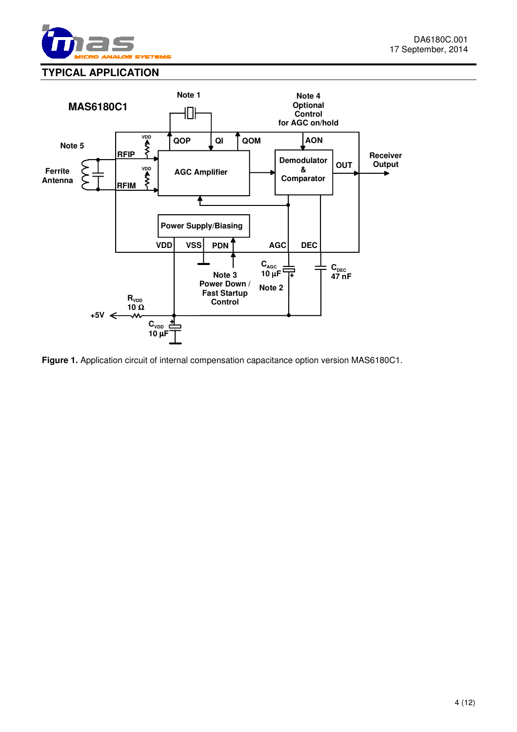

## **TYPICAL APPLICATION**



**Figure 1.** Application circuit of internal compensation capacitance option version MAS6180C1.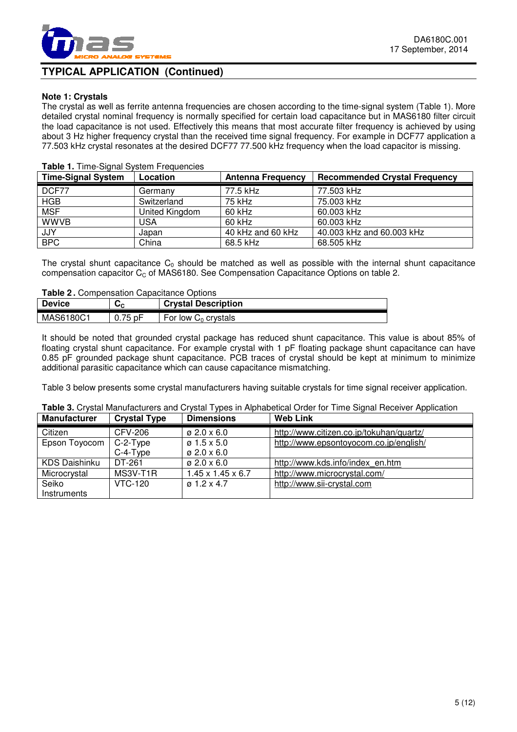

## **TYPICAL APPLICATION (Continued)**

#### **Note 1: Crystals**

The crystal as well as ferrite antenna frequencies are chosen according to the time-signal system (Table 1). More detailed crystal nominal frequency is normally specified for certain load capacitance but in MAS6180 filter circuit the load capacitance is not used. Effectively this means that most accurate filter frequency is achieved by using about 3 Hz higher frequency crystal than the received time signal frequency. For example in DCF77 application a 77.503 kHz crystal resonates at the desired DCF77 77.500 kHz frequency when the load capacitor is missing.

#### **Time-Signal System | Location | Antenna Frequency | Recommended Crystal Frequency** DCF77 | Germany | 77.5 kHz | 77.503 kHz HGB Switzerland 75 kHz 75.003 kHz MSF  $\vert$  United Kingdom  $\vert$  60 kHz  $\vert$  60.003 kHz WWVB USA 60 kHz 60.003 kHz JJY Japan 40 kHz and 60 kHz 40.003 kHz and 60.003 kHz<br>BPC China 68.5 kHz 68.505 kHz China 68.5 kHz 68.505 kHz

#### **Table 1.** Time-Signal System Frequencies

The crystal shunt capacitance  $C_0$  should be matched as well as possible with the internal shunt capacitance compensation capacitor  $C_c$  of MAS6180. See Compensation Capacitance Options on table 2.

| <b>Table 2.</b> Compensation Capacitance Options |           |                            |  |  |
|--------------------------------------------------|-----------|----------------------------|--|--|
| <b>Device</b>                                    | ັັ        | <b>Crystal Description</b> |  |  |
| MAS6180C1                                        | $0.75$ pF | For low $C_0$ crystals     |  |  |

It should be noted that grounded crystal package has reduced shunt capacitance. This value is about 85% of floating crystal shunt capacitance. For example crystal with 1 pF floating package shunt capacitance can have 0.85 pF grounded package shunt capacitance. PCB traces of crystal should be kept at minimum to minimize additional parasitic capacitance which can cause capacitance mismatching.

Table 3 below presents some crystal manufacturers having suitable crystals for time signal receiver application.

| <b>Manufacturer</b>  | <b>Crystal Type</b> | <b>Dimensions</b>             | <b>Web Link</b>                          |
|----------------------|---------------------|-------------------------------|------------------------------------------|
| Citizen              | CFV-206             | $\varnothing$ 2.0 x 6.0       | http://www.citizen.co.jp/tokuhan/quartz/ |
| Epson Toyocom        | C-2-Type            | $\varnothing$ 1.5 x 5.0       | http://www.epsontoyocom.co.jp/english/   |
|                      | $C-4-T$ ype         | $\varnothing$ 2.0 x 6.0       |                                          |
| <b>KDS Daishinku</b> | DT-261              | $\varnothing$ 2.0 x 6.0       | http://www.kds.info/index en.htm         |
| Microcrystal         | MS3V-T1R            | $1.45 \times 1.45 \times 6.7$ | http://www.microcrystal.com/             |
| Seiko                | <b>VTC-120</b>      | $\alpha$ 1.2 x 4.7            | http://www.sii-crystal.com               |
| Instruments          |                     |                               |                                          |

## **Table 3.** Crystal Manufacturers and Crystal Types in Alphabetical Order for Time Signal Receiver Application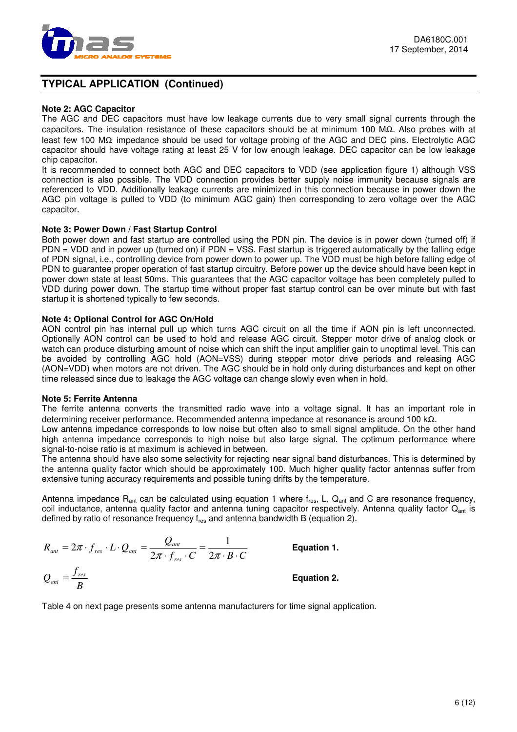

## **TYPICAL APPLICATION (Continued)**

#### **Note 2: AGC Capacitor**

The AGC and DEC capacitors must have low leakage currents due to very small signal currents through the capacitors. The insulation resistance of these capacitors should be at minimum 100 MΩ. Also probes with at least few 100 MΩ impedance should be used for voltage probing of the AGC and DEC pins. Electrolytic AGC capacitor should have voltage rating at least 25 V for low enough leakage. DEC capacitor can be low leakage chip capacitor.

It is recommended to connect both AGC and DEC capacitors to VDD (see application figure 1) although VSS connection is also possible. The VDD connection provides better supply noise immunity because signals are referenced to VDD. Additionally leakage currents are minimized in this connection because in power down the AGC pin voltage is pulled to VDD (to minimum AGC gain) then corresponding to zero voltage over the AGC capacitor.

#### **Note 3: Power Down / Fast Startup Control**

Both power down and fast startup are controlled using the PDN pin. The device is in power down (turned off) if PDN = VDD and in power up (turned on) if PDN = VSS. Fast startup is triggered automatically by the falling edge of PDN signal, i.e., controlling device from power down to power up. The VDD must be high before falling edge of PDN to guarantee proper operation of fast startup circuitry. Before power up the device should have been kept in power down state at least 50ms. This guarantees that the AGC capacitor voltage has been completely pulled to VDD during power down. The startup time without proper fast startup control can be over minute but with fast startup it is shortened typically to few seconds.

#### **Note 4: Optional Control for AGC On/Hold**

AON control pin has internal pull up which turns AGC circuit on all the time if AON pin is left unconnected. Optionally AON control can be used to hold and release AGC circuit. Stepper motor drive of analog clock or watch can produce disturbing amount of noise which can shift the input amplifier gain to unoptimal level. This can be avoided by controlling AGC hold (AON=VSS) during stepper motor drive periods and releasing AGC (AON=VDD) when motors are not driven. The AGC should be in hold only during disturbances and kept on other time released since due to leakage the AGC voltage can change slowly even when in hold.

#### **Note 5: Ferrite Antenna**

The ferrite antenna converts the transmitted radio wave into a voltage signal. It has an important role in determining receiver performance. Recommended antenna impedance at resonance is around 100 kΩ.

Low antenna impedance corresponds to low noise but often also to small signal amplitude. On the other hand high antenna impedance corresponds to high noise but also large signal. The optimum performance where signal-to-noise ratio is at maximum is achieved in between.

The antenna should have also some selectivity for rejecting near signal band disturbances. This is determined by the antenna quality factor which should be approximately 100. Much higher quality factor antennas suffer from extensive tuning accuracy requirements and possible tuning drifts by the temperature.

Antenna impedance  $R_{ant}$  can be calculated using equation 1 where  $f_{res}$ , L,  $Q_{ant}$  and C are resonance frequency, coil inductance, antenna quality factor and antenna tuning capacitor respectively. Antenna quality factor Q<sub>ant</sub> is defined by ratio of resonance frequency  $f_{res}$  and antenna bandwidth B (equation 2).

$$
R_{\text{ant}} = 2\pi \cdot f_{\text{res}} \cdot L \cdot Q_{\text{ant}} = \frac{Q_{\text{ant}}}{2\pi \cdot f_{\text{res}} \cdot C} = \frac{1}{2\pi \cdot B \cdot C}
$$
 Equation 1.  

$$
Q_{\text{ant}} = \frac{f_{\text{res}}}{B}
$$
Equation 2.

Table 4 on next page presents some antenna manufacturers for time signal application.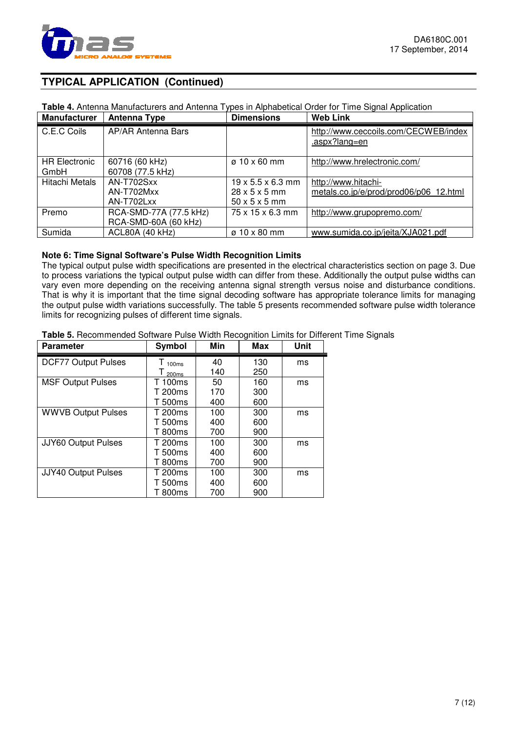

## **TYPICAL APPLICATION (Continued)**

## **Table 4.** Antenna Manufacturers and Antenna Types in Alphabetical Order for Time Signal Application

| <b>Manufacturer</b>          | Antenna Type                       | <b>Dimensions</b>             | <b>Web Link</b>                                       |
|------------------------------|------------------------------------|-------------------------------|-------------------------------------------------------|
| C.E.C Coils                  | AP/AR Antenna Bars                 |                               | http://www.ceccoils.com/CECWEB/index<br>.aspx?lang=en |
| <b>HR Electronic</b><br>GmbH | 60716 (60 kHz)<br>60708 (77.5 kHz) | $\varnothing$ 10 x 60 mm      | http://www.hrelectronic.com/                          |
| Hitachi Metals               | AN-T702Sxx                         | $19 \times 5.5 \times 6.3$ mm | http://www.hitachi-                                   |
|                              | AN-T702Mxx                         | $28 \times 5 \times 5$ mm     | metals.co.jp/e/prod/prod06/p06 12.html                |
|                              | AN-T702Lxx                         | $50 \times 5 \times 5$ mm     |                                                       |
| Premo                        | RCA-SMD-77A (77.5 kHz)             | 75 x 15 x 6.3 mm              | http://www.grupopremo.com/                            |
|                              | RCA-SMD-60A (60 kHz)               |                               |                                                       |
| Sumida                       | <b>ACL80A (40 kHz)</b>             | $\varnothing$ 10 x 80 mm      | www.sumida.co.jp/jeita/XJA021.pdf                     |

#### **Note 6: Time Signal Software's Pulse Width Recognition Limits**

The typical output pulse width specifications are presented in the electrical characteristics section on page 3. Due to process variations the typical output pulse width can differ from these. Additionally the output pulse widths can vary even more depending on the receiving antenna signal strength versus noise and disturbance conditions. That is why it is important that the time signal decoding software has appropriate tolerance limits for managing the output pulse width variations successfully. The table 5 presents recommended software pulse width tolerance limits for recognizing pulses of different time signals.

#### **Table 5.** Recommended Software Pulse Width Recognition Limits for Different Time Signals

| <b>Parameter</b>           | Symbol            | Min | Max | Unit |
|----------------------------|-------------------|-----|-----|------|
| <b>DCF77 Output Pulses</b> | 100ms             | 40  | 130 | ms   |
|                            | 200 <sub>ms</sub> | 140 | 250 |      |
| <b>MSF Output Pulses</b>   | T 100ms           | 50  | 160 | ms   |
|                            | T 200ms           | 170 | 300 |      |
|                            | T 500ms           | 400 | 600 |      |
| <b>WWVB Output Pulses</b>  | T 200ms           | 100 | 300 | ms   |
|                            | T 500ms           | 400 | 600 |      |
|                            | T 800ms           | 700 | 900 |      |
| JJY60 Output Pulses        | T 200ms           | 100 | 300 | ms   |
|                            | T 500ms           | 400 | 600 |      |
|                            | T 800ms           | 700 | 900 |      |
| JJY40 Output Pulses        | T 200ms           | 100 | 300 | ms   |
|                            | T 500ms           | 400 | 600 |      |
|                            | T 800ms           | 700 | 900 |      |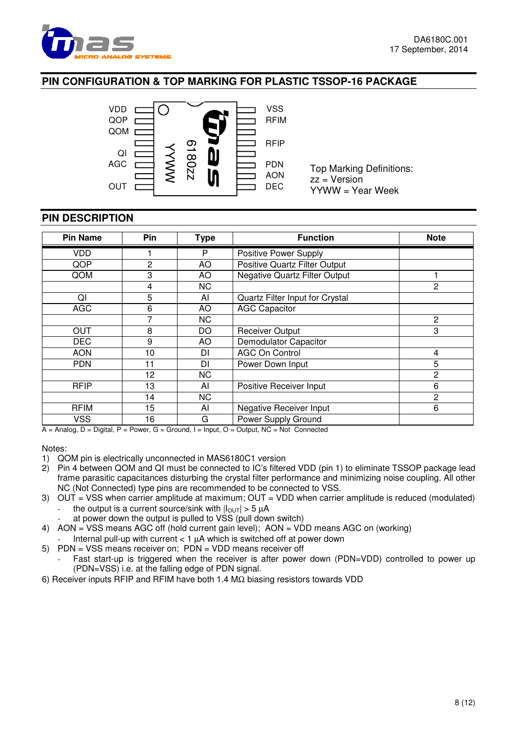

## **PIN CONFIGURATION & TOP MARKING FOR PLASTIC TSSOP-16 PACKAGE**



Top Marking Definitions: zz = Version YYWW = Year Week

## **PIN DESCRIPTION**

| <b>Pin Name</b> | Pin | <b>Type</b> | <b>Function</b>                                                     | <b>Note</b>    |
|-----------------|-----|-------------|---------------------------------------------------------------------|----------------|
| <b>VDD</b>      |     | P           | <b>Positive Power Supply</b>                                        |                |
| QOP             | 2   | AO          | <b>Positive Quartz Filter Output</b>                                |                |
| QOM             | 3   | AO          | <b>Negative Quartz Filter Output</b>                                |                |
|                 | 4   | <b>NC</b>   |                                                                     | 2              |
| QI              | 5   | AI          | Quartz Filter Input for Crystal                                     |                |
| <b>AGC</b>      | 6   | AO          | <b>AGC Capacitor</b>                                                |                |
|                 | 7   | <b>NC</b>   |                                                                     | $\overline{c}$ |
| <b>OUT</b>      | 8   | DO          | <b>Receiver Output</b>                                              | 3              |
| <b>DEC</b>      | 9   | AO          | <b>Demodulator Capacitor</b>                                        |                |
| <b>AON</b>      | 10  | DI          | <b>AGC On Control</b>                                               | 4              |
| <b>PDN</b>      | 11  | DI          | Power Down Input                                                    | 5              |
|                 | 12  | <b>NC</b>   |                                                                     | $\overline{2}$ |
| <b>RFIP</b>     | 13  | AI          | Positive Receiver Input                                             | 6              |
|                 | 14  | <b>NC</b>   |                                                                     | $\overline{2}$ |
| <b>RFIM</b>     | 15  | AI          | Negative Receiver Input                                             | 6              |
| <b>VSS</b><br>. | 16  | G           | Power Supply Ground<br>$\cdots$ $\cdots$ $\alpha$ $\cdots$ $\cdots$ |                |

 $A =$  Analog,  $D =$  Digital,  $P =$  Power,  $G =$  Ground,  $I =$  Input,  $O =$  Output,  $NC =$  Not Connected

Notes:

- 1) QOM pin is electrically unconnected in MAS6180C1 version
- 2) Pin 4 between QOM and QI must be connected to IC's filtered VDD (pin 1) to eliminate TSSOP package lead frame parasitic capacitances disturbing the crystal filter performance and minimizing noise coupling. All other NC (Not Connected) type pins are recommended to be connected to VSS.
- 3) OUT = VSS when carrier amplitude at maximum; OUT = VDD when carrier amplitude is reduced (modulated) the output is a current source/sink with  $|I_{\text{OUT}}| > 5 \mu A$ 
	- at power down the output is pulled to VSS (pull down switch)
- 4) AON = VSS means AGC off (hold current gain level); AON = VDD means AGC on (working)
	- Internal pull-up with current  $< 1$  uA which is switched off at power down
- 5) PDN = VSS means receiver on; PDN = VDD means receiver off
	- Fast start-up is triggered when the receiver is after power down (PDN=VDD) controlled to power up (PDN=VSS) i.e. at the falling edge of PDN signal.
- 6) Receiver inputs RFIP and RFIM have both 1.4 MΩ biasing resistors towards VDD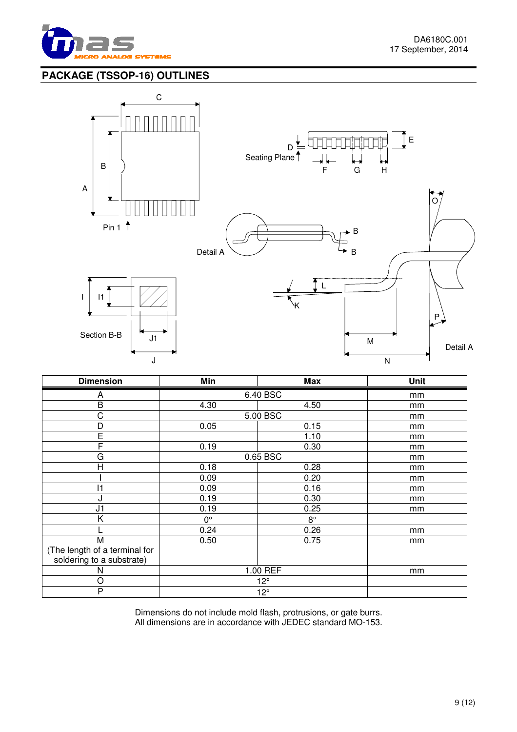

A

## **PACKAGE (TSSOP-16) OUTLINES**



| <b>Dimension</b>              | Min          | <b>Max</b>  | <b>Unit</b> |
|-------------------------------|--------------|-------------|-------------|
| A                             |              | 6.40 BSC    | mm          |
| $\overline{B}$                | 4.30         | 4.50        | mm          |
| C                             |              | 5.00 BSC    | mm          |
| D                             | 0.05         | 0.15        | mm          |
| Ē                             |              | 1.10        | mm          |
| F                             | 0.19         | 0.30        | mm          |
| G                             |              | 0.65 BSC    | mm          |
| H                             | 0.18         | 0.28        | mm          |
|                               | 0.09         | 0.20        | mm          |
| 11                            | 0.09         | 0.16        | mm          |
| J                             | 0.19         | 0.30        | mm          |
| J <sub>1</sub>                | 0.19         | 0.25        | mm          |
| Κ                             | $0^{\circ}$  | $8^{\circ}$ |             |
|                               | 0.24         | 0.26        | mm          |
| M                             | 0.50         | 0.75        | mm          |
| (The length of a terminal for |              |             |             |
| soldering to a substrate)     |              |             |             |
| N                             | 1.00 REF     | mm          |             |
| O                             | $12^{\circ}$ |             |             |
| P                             | $12^{\circ}$ |             |             |

Dimensions do not include mold flash, protrusions, or gate burrs. All dimensions are in accordance with JEDEC standard MO-153.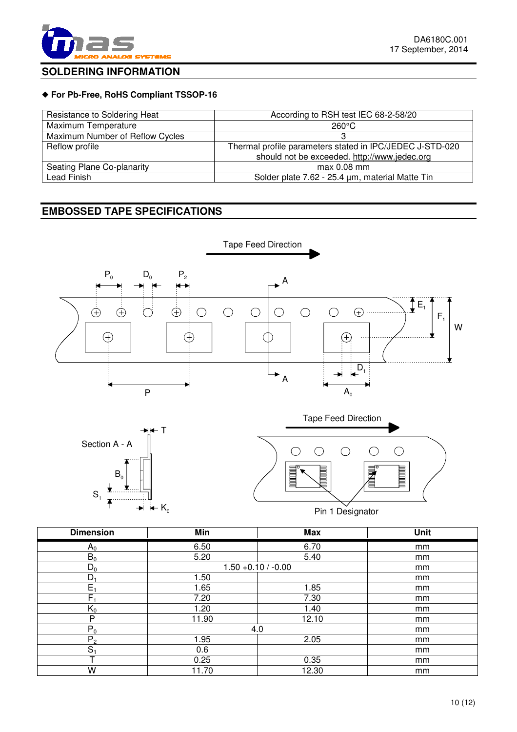

 $\bigcirc$ 

**THE REAL PROPERTY** 

## **SOLDERING INFORMATION**

#### ◆ **For Pb-Free, RoHS Compliant TSSOP-16**

| Resistance to Soldering Heat    | According to RSH test IEC 68-2-58/20                     |
|---------------------------------|----------------------------------------------------------|
| Maximum Temperature             | $260^{\circ}$ C                                          |
| Maximum Number of Reflow Cycles |                                                          |
| Reflow profile                  | Thermal profile parameters stated in IPC/JEDEC J-STD-020 |
|                                 | should not be exceeded. http://www.jedec.org             |
| Seating Plane Co-planarity      | $max 0.08$ mm                                            |
| Lead Finish                     | Solder plate 7.62 - 25.4 µm, material Matte Tin          |

## **EMBOSSED TAPE SPECIFICATIONS**





Dimension | Min | Max | Unit  $A_0$  6.50 6.70 mm  $B_0$  5.20 5.40 mm  $\begin{array}{c|c|c|c|c|c|c|c|c} \hline \text{D}_0 & & 1.50 & +0.10 & /-0.00 & \text{mm} \ \hline \text{D}_1 & & & 1.50 & & \text{mm} \ \hline \end{array}$  $D_1$  1.50 mm  $E_1$  1.65 1.65 1.85 mm  $F_1$  7.20 7.30 mm  $K_0$  1.20 1.40 mm P 11.90 12.10 mm  $P_0$  mm  $P_2$  1.95 2.05 mm  $S_1$  0.6 1 mm T 0.25 0.35 mm W 11.70 12.30 mm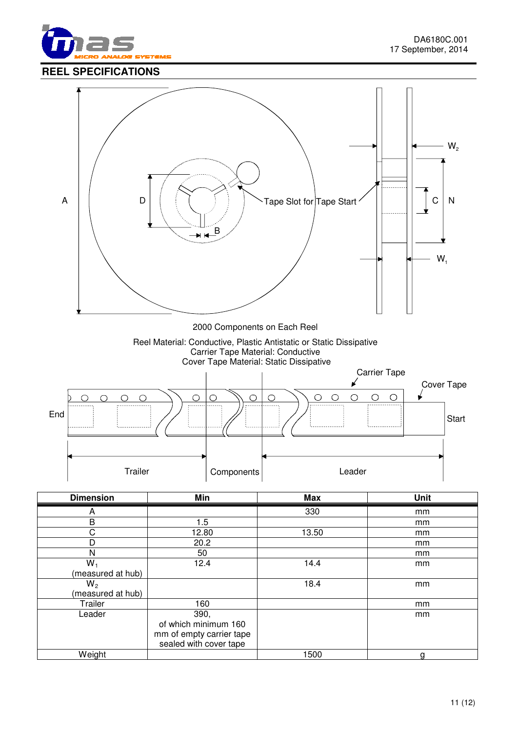



| <b>Dimension</b>  | Min                      | <b>Max</b> | <b>Unit</b> |
|-------------------|--------------------------|------------|-------------|
| A                 |                          | 330        | mm          |
| B                 | 1.5                      |            | mm          |
| C                 | 12.80                    | 13.50      | mm          |
| D                 | 20.2                     |            | mm          |
| N                 | 50                       |            | mm          |
| $W_1$             | 12.4                     | 14.4       | mm          |
| (measured at hub) |                          |            |             |
| $W_2$             |                          | 18.4       | mm          |
| (measured at hub) |                          |            |             |
| Trailer           | 160                      |            | mm          |
| Leader            | 390,                     |            | mm          |
|                   | of which minimum 160     |            |             |
|                   | mm of empty carrier tape |            |             |
|                   | sealed with cover tape   |            |             |
| Weight            |                          | 1500       | n           |

٦